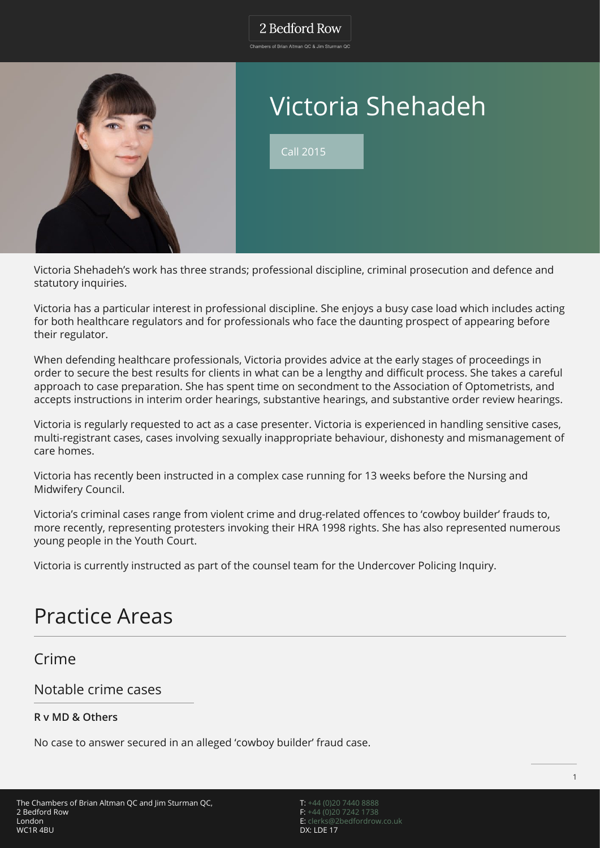### 2 Bedford Row

.<br>Chambers of Brian Altman OC & Jim Sturman OC



# Victoria Shehadeh

Call 2015

Victoria Shehadeh's work has three strands; professional discipline, criminal prosecution and defence and statutory inquiries.

Victoria has a particular interest in professional discipline. She enjoys a busy case load which includes acting for both healthcare regulators and for professionals who face the daunting prospect of appearing before their regulator.

When defending healthcare professionals, Victoria provides advice at the early stages of proceedings in order to secure the best results for clients in what can be a lengthy and difficult process. She takes a careful approach to case preparation. She has spent time on secondment to the Association of Optometrists, and accepts instructions in interim order hearings, substantive hearings, and substantive order review hearings.

Victoria is regularly requested to act as a case presenter. Victoria is experienced in handling sensitive cases, multi-registrant cases, cases involving sexually inappropriate behaviour, dishonesty and mismanagement of care homes.

Victoria has recently been instructed in a complex case running for 13 weeks before the Nursing and Midwifery Council.

Victoria's criminal cases range from violent crime and drug-related offences to 'cowboy builder' frauds to, more recently, representing protesters invoking their HRA 1998 rights. She has also represented numerous young people in the Youth Court.

Victoria is currently instructed as part of the counsel team for the Undercover Policing Inquiry.

## Practice Areas

Crime

### Notable crime cases

#### **R v MD & Others**

No case to answer secured in an alleged 'cowboy builder' fraud case.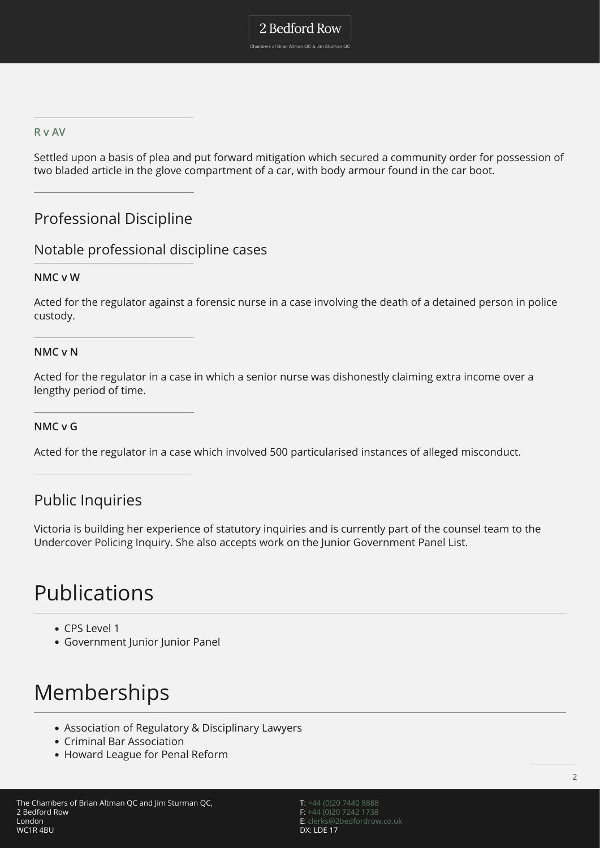#### **[R v AV](https://www.punchline-gloucester.com/articles/aanews/man-who-was-found-with-knives-is-given-community-order)**

Settled upon a basis of plea and put forward mitigation which secured a community order for possession of two bladed article in the glove compartment of a car, with body armour found in the car boot.

### Professional Discipline

#### Notable professional discipline cases

#### **NMC v W**

Acted for the regulator against a forensic nurse in a case involving the death of a detained person in police custody.

#### **NMC v N**

Acted for the regulator in a case in which a senior nurse was dishonestly claiming extra income over a lengthy period of time.

#### **NMC v G**

Acted for the regulator in a case which involved 500 particularised instances of alleged misconduct.

### Public Inquiries

Victoria is building her experience of statutory inquiries and is currently part of the counsel team to the Undercover Policing Inquiry. She also accepts work on the Junior Government Panel List.

## Publications

- CPS Level 1
- Government Junior Junior Panel

## Memberships

- Association of Regulatory & Disciplinary Lawyers
- Criminal Bar Association
- Howard League for Penal Reform